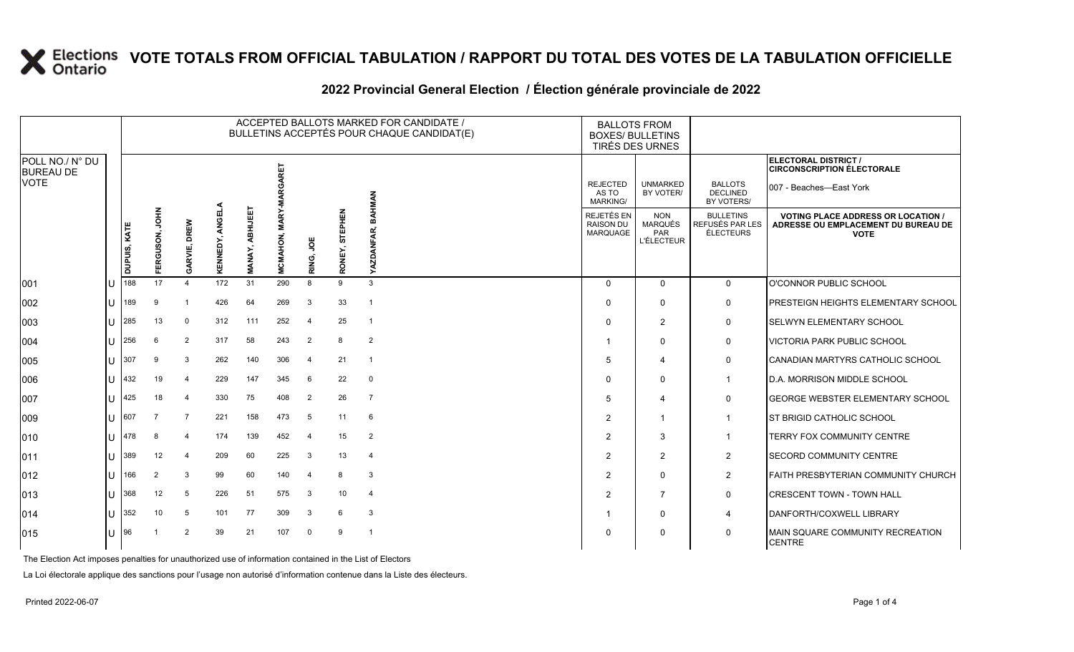### **VOTE TOTALS FROM OFFICIAL TABULATION / RAPPORT DU TOTAL DES VOTES DE LA TABULATION OFFICIELLE**

|                                                    |       |              |                        |                |                    |                           |                                  |                |                          | ACCEPTED BALLOTS MARKED FOR CANDIDATE /<br>BULLETINS ACCEPTÉS POUR CHAQUE CANDIDAT(E) |                                             | <b>BALLOTS FROM</b><br><b>BOXES/ BULLETINS</b><br>TIRÉS DES URNES |                                                  |                                                                                                 |
|----------------------------------------------------|-------|--------------|------------------------|----------------|--------------------|---------------------------|----------------------------------|----------------|--------------------------|---------------------------------------------------------------------------------------|---------------------------------------------|-------------------------------------------------------------------|--------------------------------------------------|-------------------------------------------------------------------------------------------------|
| POLL NO./ N° DU<br><b>BUREAU DE</b><br><b>VOTE</b> |       |              |                        |                |                    |                           |                                  |                |                          |                                                                                       |                                             |                                                                   |                                                  | <b>ELECTORAL DISTRICT /</b><br><b>CIRCONSCRIPTION ÉLECTORALE</b>                                |
|                                                    |       |              |                        |                |                    |                           | GARET                            |                |                          | <b>NAMHAR</b>                                                                         | <b>REJECTED</b><br>AS TO<br><b>MARKING/</b> | <b>UNMARKED</b><br>BY VOTER/                                      | <b>BALLOTS</b><br><b>DECLINED</b><br>BY VOTERS/  | 007 - Beaches-East York                                                                         |
|                                                    |       | DUPUIS, KATE | <b>NHOL</b><br>ERGUSON | GARVIE, DREW   | ANGELA<br>KENNEDY, | ABHIJEET<br><b>MANAY,</b> | <b>MARY-M</b><br><b>MCMAHON,</b> | RING, JOE      | <b>STEPHEN</b><br>RONEY, | ā<br>≻                                                                                | REJETÉS EN<br><b>RAISON DU</b><br>MARQUAGE  | <b>NON</b><br>MARQUÉS<br><b>PAR</b><br><b>L'ÉLECTEUR</b>          | <b>BULLETINS</b><br>REFUSÉS PAR LES<br>ÉLECTEURS | <b>VOTING PLACE ADDRESS OR LOCATION /</b><br>ADRESSE OU EMPLACEMENT DU BUREAU DE<br><b>VOTE</b> |
| 001                                                | IU    | 188          | 17                     | $\Delta$       | 172                | 31                        | 290                              | 8              | 9                        | $\mathbf{3}$                                                                          | $\Omega$                                    | $\Omega$                                                          | $\mathbf 0$                                      | O'CONNOR PUBLIC SCHOOL                                                                          |
| 002                                                | IU    | 189          | 9                      |                | 426                | 64                        | 269                              | 3              | 33                       | $\overline{\phantom{0}}$                                                              | $\Omega$                                    | $\mathbf{0}$                                                      | $\mathbf 0$                                      | <b>PRESTEIGN HEIGHTS ELEMENTARY SCHOOL</b>                                                      |
| 003                                                | IU    | 285          | 13                     | $\mathbf 0$    | 312                | 111                       | 252                              | 4              | 25                       | $\overline{1}$                                                                        | $\Omega$                                    | $\overline{2}$                                                    | 0                                                | <b>SELWYN ELEMENTARY SCHOOL</b>                                                                 |
| 004                                                | ПT    | 256          | 6                      | 2              | 317                | 58                        | 243                              | 2              | 8                        | $\overline{2}$                                                                        | -1                                          | $\Omega$                                                          | $\mathbf 0$                                      | <b>VICTORIA PARK PUBLIC SCHOOL</b>                                                              |
| 005                                                | IU    | 307          | 9                      | 3              | 262                | 140                       | 306                              | 4              | 21                       | $\overline{1}$                                                                        | 5                                           | 4                                                                 | 0                                                | CANADIAN MARTYRS CATHOLIC SCHOOL                                                                |
| 006                                                | Ш     | 432          | 19                     | $\overline{4}$ | 229                | 147                       | 345                              | -6             | 22                       | $\overline{0}$                                                                        | $\Omega$                                    | $\Omega$                                                          | $\mathbf{1}$                                     | <b>ID.A. MORRISON MIDDLE SCHOOL</b>                                                             |
| 007                                                | Ш     | 425          | 18                     | $\overline{4}$ | 330                | 75                        | 408                              | $\overline{2}$ | 26                       | $\overline{7}$                                                                        | 5                                           | 4                                                                 | 0                                                | <b>GEORGE WEBSTER ELEMENTARY SCHOOL</b>                                                         |
| 009                                                | IU    | 607          | 7                      | 7              | 221                | 158                       | 473                              | -5             | 11                       | -6                                                                                    | 2                                           | -1                                                                | $\mathbf{1}$                                     | <b>IST BRIGID CATHOLIC SCHOOL</b>                                                               |
| 010                                                | IU    | 478          | 8                      | 4              | 174                | 139                       | 452                              | 4              | 15                       | $\overline{2}$                                                                        | $\overline{2}$                              | 3                                                                 | $\mathbf{1}$                                     | <b>TERRY FOX COMMUNITY CENTRE</b>                                                               |
| 011                                                | IU    | 389          | 12                     | $\overline{4}$ | 209                | 60                        | 225                              | 3              | 13                       | $\overline{4}$                                                                        | $\overline{2}$                              | 2                                                                 | $\overline{2}$                                   | <b>SECORD COMMUNITY CENTRE</b>                                                                  |
| 012                                                | 1 L L | 166          | $\overline{2}$         | 3              | 99                 | 60                        | 140                              | -4             | 8                        | 3                                                                                     | $\overline{2}$                              | $\Omega$                                                          | $\overline{2}$                                   | <b>FAITH PRESBYTERIAN COMMUNITY CHURCH</b>                                                      |
| 013                                                | ПT    | 368          | 12                     | 5              | 226                | 51                        | 575                              | 3              | 10                       | $\overline{4}$                                                                        | $\overline{2}$                              | $\overline{7}$                                                    | $\mathbf 0$                                      | <b>ICRESCENT TOWN - TOWN HALL</b>                                                               |
| 014                                                | IU    | 352          | 10                     | 5              | 101                | 77                        | 309                              | 3              | 6                        | $\mathbf{3}$                                                                          |                                             | $\Omega$                                                          | 4                                                | DANFORTH/COXWELL LIBRARY                                                                        |
| 015                                                | IU    | 196          |                        | 2              | 39                 | 21                        | 107                              | $\Omega$       | 9                        | $\overline{\phantom{0}}$                                                              | $\Omega$                                    | $\Omega$                                                          | 0                                                | MAIN SQUARE COMMUNITY RECREATION<br><b>CENTRE</b>                                               |

#### 2022 Provincial General Election / Election générale provinciale de 2022

The Election Act imposes penalties for unauthorized use of information contained in the List of Electors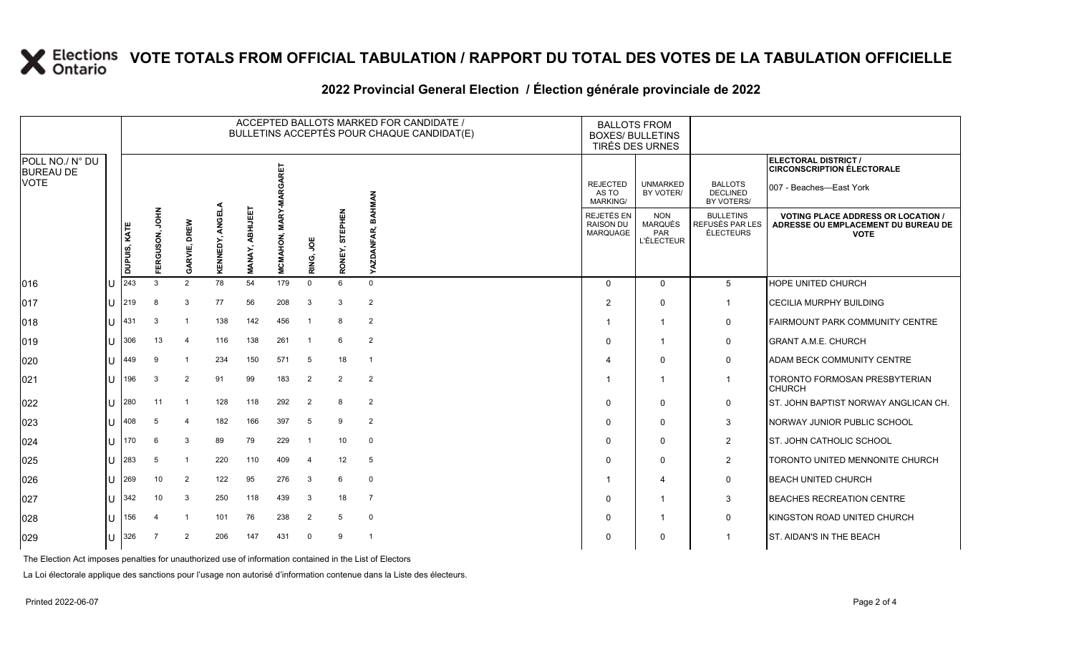### **X** Elections VOTE TOTALS FROM OFFICIAL TABULATION / RAPPORT DU TOTAL DES VOTES DE LA TABULATION OFFICIELLE

#### ACCEPTED BALLOTS MARKED FOR CANDIDATE / BULLETINS ACCEPTÉS POUR CHAQUE CANDIDAT(E) BALLOTS FROM BOXES/ BULLETINS TIRÉS DES URNES **ELECTORAL DISTRICT /** POLL NO./ N° DU **MARGARET MCMAHON, MARY-MARGARET CIRCONSCRIPTION ÉLECTORALE** BUREAU DE VOTE REJECTED UNMARKED BALLOTS 007 - Beaches—East York **DECLINED** BY VOTER/ AS TO **BAHMAN YAZDANFAR, BAHMAN** MARKING/ BY VOTERS/ KENNEDY, ANGELA **KENNEDY, ANGELA** ABHIJEET **MANAY, ABHIJEET FERGUSON, JOHN** RONEY, STEPHEN ERGUSON, JOHN **MCMAHON, MARY RONEY, STEPHEN** REJETÉS EN NON BULLETINS **VOTING PLACE ADDRESS OR LOCATION / GARVIE, DREW** RAISON DU MARQUÉS REFUSÉS PAR LES **ADRESSE OU EMPLACEMENT DU BUREAU DE DUPUIS, KATE** YAZDANFAR, MARQUAGE PAR ÉLECTEURS **VOTE RING, JOE** L'ÉLECTEUR **VANAY** 016 U 243 3 2 78 54 179 0 6 0 0 0 5 HOPE UNITED CHURCH 017 U 219 8 3 77 56 208 3 3 2 2 0 1 CECILIA MURPHY BUILDING 018 U 431 3 1 138 142 456 1 8 2 1 1 0 FAIRMOUNT PARK COMMUNITY CENTRE 019 U 306 13 4 116 138 261 1 6 2 0 1 0 GRANT A.M.E. CHURCH 020 U 449 9 1 234 150 571 5 18 1 4 0 0 ADAM BECK COMMUNITY CENTRE 021 U 196 3 2 91 99 183 2 2 2 1 1 1 TORONTO FORMOSAN PRESBYTERIAN CHURCH 022 U 280 11 1 128 118 292 2 8 2 0 0 0 ST. JOHN BAPTIST NORWAY ANGLICAN CH. 023 U 408 5 4 182 166 397 5 9 2 0 0 3 NORWAY JUNIOR PUBLIC SCHOOL 024 U 170 6 3 89 79 229 1 10 0 0 0 2 ST. JOHN CATHOLIC SCHOOL 025 U 283 5 1 220 110 409 4 12 5 0 0 2 TORONTO UNITED MENNONITE CHURCH 026 U 269 10 2 122 95 276 3 6 0 1 4 0 BEACH UNITED CHURCH 027 U 342 10 3 250 118 439 3 18 7 0 1 3 BEACHES RECREATION CENTRE 028 U 156 4 1 101 76 238 2 5 0 0 1 0 KINGSTON ROAD UNITED CHURCH 029 U 326 7 2 206 147 431 0 9 1 0 0 1 ST. AIDAN'S IN THE BEACH

#### **2022 Provincial General Election / Élection générale provinciale de 2022**

The Election Act imposes penalties for unauthorized use of information contained in the List of Electors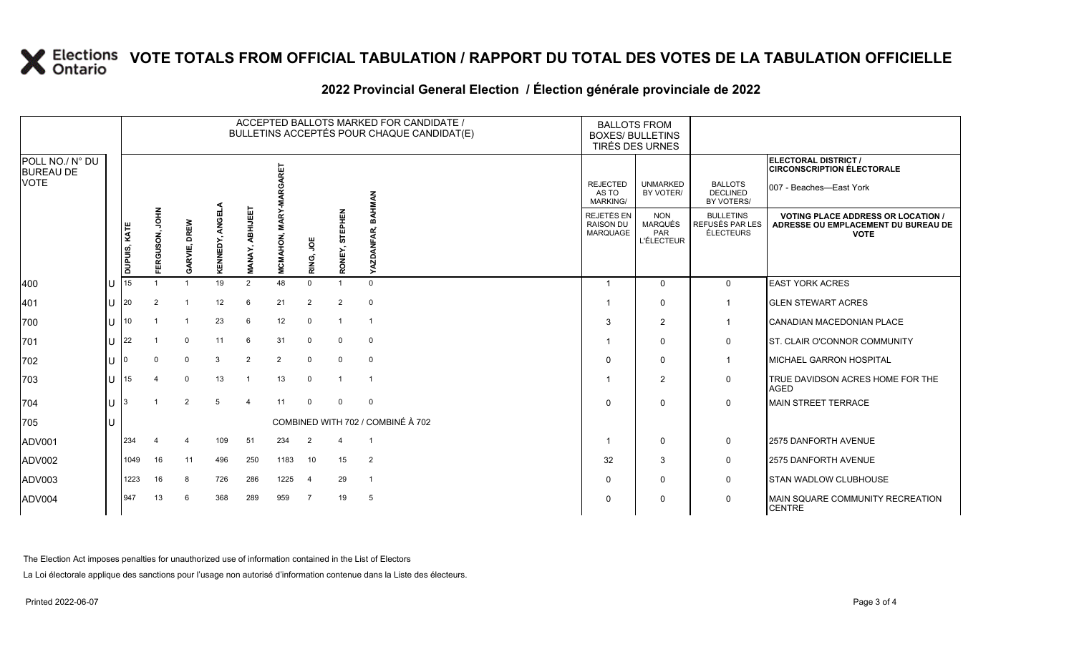# **X** Elections VOTE TOTALS FROM OFFICIAL TABULATION / RAPPORT DU TOTAL DES VOTES DE LA TABULATION OFFICIELLE

### **2022 Provincial General Election / Élection générale provinciale de 2022**

|                                     |     | ACCEPTED BALLOTS MARKED FOR CANDIDATE /<br>BULLETINS ACCEPTÉS POUR CHAQUE CANDIDAT(E) |                             |              |                          |                           |                         |                |                   |                      | <b>BALLOTS FROM</b><br><b>BOXES/ BULLETINS</b><br><b>TIRÉS DES URNES</b> |                                                          |                                                  |                                                                                                 |
|-------------------------------------|-----|---------------------------------------------------------------------------------------|-----------------------------|--------------|--------------------------|---------------------------|-------------------------|----------------|-------------------|----------------------|--------------------------------------------------------------------------|----------------------------------------------------------|--------------------------------------------------|-------------------------------------------------------------------------------------------------|
| POLL NO./ N° DU<br><b>BUREAU DE</b> |     |                                                                                       |                             |              |                          |                           | 닕                       |                |                   |                      |                                                                          |                                                          |                                                  | ELECTORAL DISTRICT /<br><b>CIRCONSCRIPTION ÉLECTORALE</b>                                       |
| <b>VOTE</b>                         |     |                                                                                       |                             |              |                          |                           |                         |                |                   | <b>NAMHAAE</b>       | <b>REJECTED</b><br>AS TO<br><b>MARKING/</b>                              | <b>UNMARKED</b><br>BY VOTER/                             | <b>BALLOTS</b><br><b>DECLINED</b><br>BY VOTERS/  | 007 - Beaches-East York                                                                         |
|                                     |     | DUPUIS, KATE                                                                          | <b>NHOL</b><br>RGUSON,<br>画 | GARVIE, DREW | <b>ANGEL</b><br>KENNEDY, | ABHIJEET<br><b>MANAY,</b> | <b>MARY</b><br>MCMAHON, | RING, JOE      | STEPHEN<br>RONEY, | DANFA<br><b>IZKY</b> | REJETÉS EN<br><b>RAISON DU</b><br>MARQUAGE                               | <b>NON</b><br><b>MARQUÉS</b><br>PAR<br><b>L'ÉLECTEUR</b> | <b>BULLETINS</b><br>REFUSÉS PAR LES<br>ÉLECTEURS | <b>VOTING PLACE ADDRESS OR LOCATION /</b><br>ADRESSE OU EMPLACEMENT DU BUREAU DE<br><b>VOTE</b> |
| $ 400\rangle$                       | lU  | 15                                                                                    |                             |              | 19                       | 2                         | 48                      | $\Omega$       | $\overline{1}$    | $\Omega$             | - 1                                                                      | $\mathbf{0}$                                             | $\mathbf 0$                                      | <b>EAST YORK ACRES</b>                                                                          |
| 401                                 | lul | 20                                                                                    | 2                           |              | 12                       | 6                         | 21                      | $\overline{2}$ | $\overline{2}$    | $\mathbf 0$          |                                                                          | $\Omega$                                                 |                                                  | <b>GLEN STEWART ACRES</b>                                                                       |
| 700                                 | lu  | 10 <sup>°</sup>                                                                       |                             |              | 23                       | 6                         | 12                      | $\mathbf 0$    | $\overline{1}$    | $\overline{1}$       | 3                                                                        | $\overline{2}$                                           |                                                  | CANADIAN MACEDONIAN PLACE                                                                       |
| 701                                 | lU. | 22                                                                                    |                             | $\mathbf 0$  | 11                       | 6                         | 31                      | $\mathbf 0$    | 0                 | $\mathbf 0$          |                                                                          | 0                                                        | 0                                                | <b>ST. CLAIR O'CONNOR COMMUNITY</b>                                                             |
| 702                                 | lu  |                                                                                       | $\Omega$                    | $\Omega$     | 3                        | $\overline{2}$            | 2                       | $\mathbf 0$    | $\mathbf 0$       | $\mathbf 0$          | $\Omega$                                                                 | $\mathbf{0}$                                             | 1                                                | <b>MICHAEL GARRON HOSPITAL</b>                                                                  |
| 703                                 | lu  | 15                                                                                    |                             | $\Omega$     | 13                       |                           | 13                      | $\mathbf 0$    | $\overline{1}$    |                      |                                                                          | 2                                                        | $\mathbf 0$                                      | <b>TRUE DAVIDSON ACRES HOME FOR THE</b><br><b>AGED</b>                                          |
| 704                                 | lu  |                                                                                       |                             | 2            | 5                        | $\boldsymbol{\Lambda}$    | 11                      | $\Omega$       | $\Omega$          | $\mathbf 0$          | $\Omega$                                                                 | $\mathbf{0}$                                             | $\mathbf 0$                                      | <b>MAIN STREET TERRACE</b>                                                                      |
| 705                                 | ш   | COMBINED WITH 702 / COMBINÉ À 702                                                     |                             |              |                          |                           |                         |                |                   |                      |                                                                          |                                                          |                                                  |                                                                                                 |
| ADV001                              |     | 234                                                                                   |                             |              | 109                      | 51                        | 234                     | 2              | 4                 |                      |                                                                          | $\mathbf{0}$                                             | 0                                                | 2575 DANFORTH AVENUE                                                                            |
| ADV002                              |     | 1049                                                                                  | 16                          | 11           | 496                      | 250                       | 1183                    | 10             | 15                | $\overline{2}$       | 32                                                                       | 3                                                        | 0                                                | 2575 DANFORTH AVENUE                                                                            |
| ADV003                              |     | 1223                                                                                  | 16                          | 8            | 726                      | 286                       | 1225                    | $\overline{4}$ | 29                | $\overline{1}$       | $\Omega$                                                                 | 0                                                        | 0                                                | <b>STAN WADLOW CLUBHOUSE</b>                                                                    |
| ADV004                              |     | 947                                                                                   | 13                          | 6            | 368                      | 289                       | 959                     | $\overline{7}$ | 19                | - 5                  | $\Omega$                                                                 | 0                                                        | $\mathbf 0$                                      | MAIN SQUARE COMMUNITY RECREATION<br><b>CENTRE</b>                                               |

The Election Act imposes penalties for unauthorized use of information contained in the List of Electors